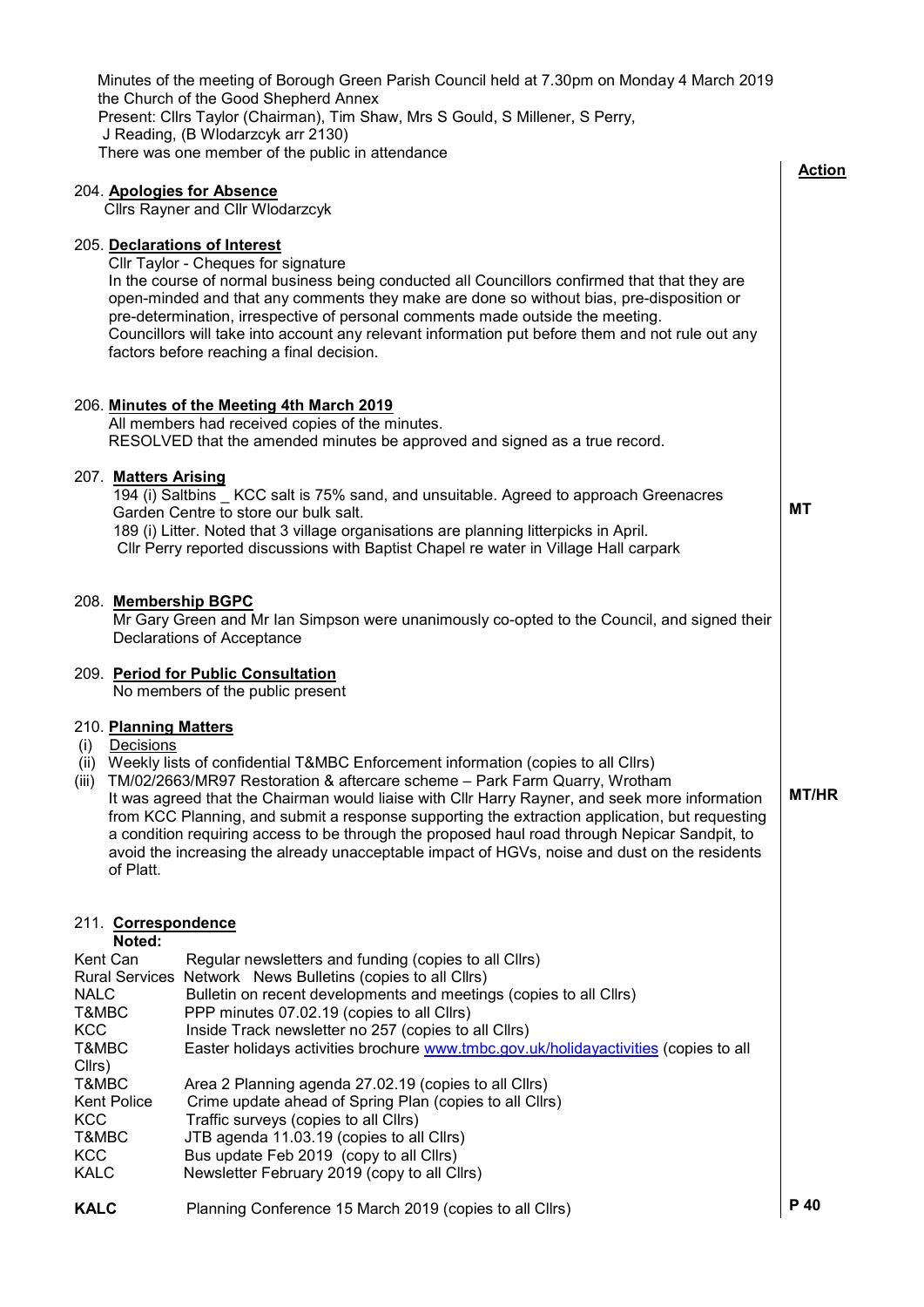|                     |                                    | Minutes of the meeting of Borough Green Parish Council held at 7.30pm on Monday 4 March 2019<br>the Church of the Good Shepherd Annex                                                            |               |
|---------------------|------------------------------------|--------------------------------------------------------------------------------------------------------------------------------------------------------------------------------------------------|---------------|
|                     |                                    | Present: Cllrs Taylor (Chairman), Tim Shaw, Mrs S Gould, S Millener, S Perry,                                                                                                                    |               |
|                     |                                    | J Reading, (B Wlodarzcyk arr 2130)                                                                                                                                                               |               |
|                     |                                    | There was one member of the public in attendance                                                                                                                                                 | <b>Action</b> |
|                     |                                    | 204. Apologies for Absence                                                                                                                                                                       |               |
|                     |                                    | <b>Cllrs Rayner and Cllr Wlodarzcyk</b>                                                                                                                                                          |               |
|                     |                                    | 205. Declarations of Interest                                                                                                                                                                    |               |
|                     |                                    | Cllr Taylor - Cheques for signature                                                                                                                                                              |               |
|                     |                                    | In the course of normal business being conducted all Councillors confirmed that that they are                                                                                                    |               |
|                     |                                    | open-minded and that any comments they make are done so without bias, pre-disposition or<br>pre-determination, irrespective of personal comments made outside the meeting.                       |               |
|                     |                                    | Councillors will take into account any relevant information put before them and not rule out any                                                                                                 |               |
|                     |                                    | factors before reaching a final decision.                                                                                                                                                        |               |
|                     |                                    |                                                                                                                                                                                                  |               |
|                     |                                    | 206. Minutes of the Meeting 4th March 2019                                                                                                                                                       |               |
|                     |                                    | All members had received copies of the minutes.                                                                                                                                                  |               |
|                     |                                    | RESOLVED that the amended minutes be approved and signed as a true record.                                                                                                                       |               |
|                     | 207. Matters Arising               |                                                                                                                                                                                                  |               |
|                     |                                    | 194 (i) Saltbins _ KCC salt is 75% sand, and unsuitable. Agreed to approach Greenacres                                                                                                           |               |
|                     |                                    | Garden Centre to store our bulk salt.                                                                                                                                                            | MT            |
|                     |                                    | 189 (i) Litter. Noted that 3 village organisations are planning litterpicks in April.<br>CIIr Perry reported discussions with Baptist Chapel re water in Village Hall carpark                    |               |
|                     |                                    |                                                                                                                                                                                                  |               |
|                     |                                    | 208. Membership BGPC                                                                                                                                                                             |               |
|                     |                                    | Mr Gary Green and Mr Ian Simpson were unanimously co-opted to the Council, and signed their                                                                                                      |               |
|                     |                                    | Declarations of Acceptance                                                                                                                                                                       |               |
|                     |                                    | 209. Period for Public Consultation                                                                                                                                                              |               |
|                     |                                    | No members of the public present                                                                                                                                                                 |               |
|                     |                                    |                                                                                                                                                                                                  |               |
| (i)                 | 210. Planning Matters<br>Decisions |                                                                                                                                                                                                  |               |
|                     |                                    | (ii) Weekly lists of confidential T&MBC Enforcement information (copies to all Cllrs)                                                                                                            |               |
| (iii)               |                                    | TM/02/2663/MR97 Restoration & aftercare scheme - Park Farm Quarry, Wrotham                                                                                                                       | <b>MT/HR</b>  |
|                     |                                    | It was agreed that the Chairman would liaise with Cllr Harry Rayner, and seek more information<br>from KCC Planning, and submit a response supporting the extraction application, but requesting |               |
|                     |                                    | a condition requiring access to be through the proposed haul road through Nepicar Sandpit, to                                                                                                    |               |
|                     |                                    | avoid the increasing the already unacceptable impact of HGVs, noise and dust on the residents                                                                                                    |               |
|                     | of Platt.                          |                                                                                                                                                                                                  |               |
|                     |                                    |                                                                                                                                                                                                  |               |
|                     | 211. Correspondence                |                                                                                                                                                                                                  |               |
|                     | Noted:<br>Kent Can                 | Regular newsletters and funding (copies to all Cllrs)                                                                                                                                            |               |
|                     |                                    | Rural Services Network News Bulletins (copies to all Cllrs)                                                                                                                                      |               |
| <b>NALC</b>         |                                    | Bulletin on recent developments and meetings (copies to all Cllrs)                                                                                                                               |               |
| T&MBC<br><b>KCC</b> |                                    | PPP minutes 07.02.19 (copies to all Cllrs)<br>Inside Track newsletter no 257 (copies to all Cllrs)                                                                                               |               |
| T&MBC               |                                    | Easter holidays activities brochure www.tmbc.gov.uk/holidayactivities (copies to all                                                                                                             |               |
| Cllrs)              |                                    |                                                                                                                                                                                                  |               |
| T&MBC               |                                    | Area 2 Planning agenda 27.02.19 (copies to all Cllrs)                                                                                                                                            |               |
| <b>KCC</b>          | <b>Kent Police</b>                 | Crime update ahead of Spring Plan (copies to all Cllrs)<br>Traffic surveys (copies to all Cllrs)                                                                                                 |               |
| T&MBC               |                                    | JTB agenda 11.03.19 (copies to all Cllrs)                                                                                                                                                        |               |
| <b>KCC</b>          |                                    | Bus update Feb 2019 (copy to all Cllrs)                                                                                                                                                          |               |
| <b>KALC</b>         |                                    | Newsletter February 2019 (copy to all Cllrs)                                                                                                                                                     |               |
| <b>KALC</b>         |                                    | Planning Conference 15 March 2019 (copies to all Cllrs)                                                                                                                                          | P 40          |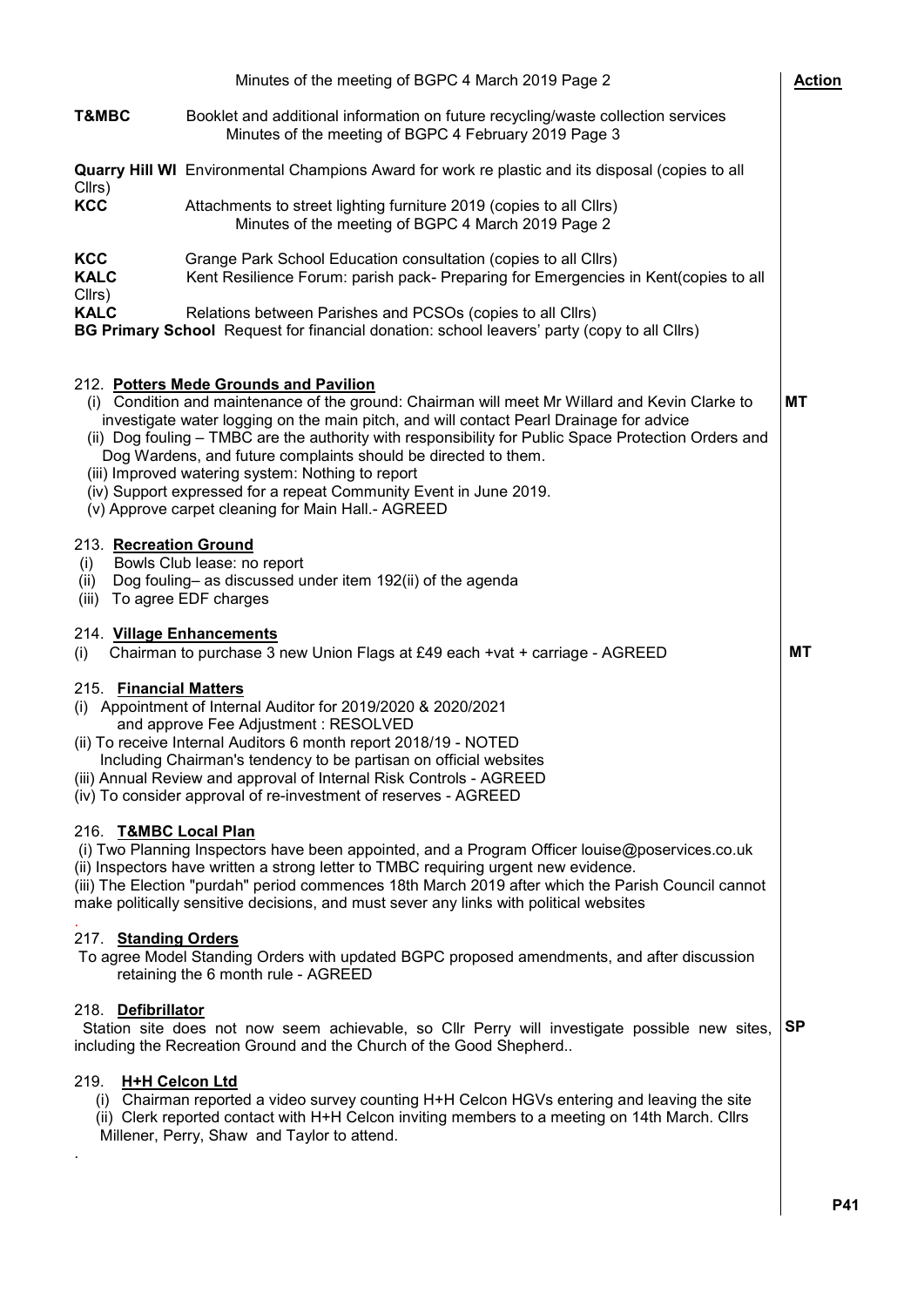|                                                                                                                                                                                                                                                                                                                                                                                                                                                                                                                                                                                               | Minutes of the meeting of BGPC 4 March 2019 Page 2                                                                                                                                                                                                                                                                                                                                    | <b>Action</b> |  |
|-----------------------------------------------------------------------------------------------------------------------------------------------------------------------------------------------------------------------------------------------------------------------------------------------------------------------------------------------------------------------------------------------------------------------------------------------------------------------------------------------------------------------------------------------------------------------------------------------|---------------------------------------------------------------------------------------------------------------------------------------------------------------------------------------------------------------------------------------------------------------------------------------------------------------------------------------------------------------------------------------|---------------|--|
| <b>T&amp;MBC</b>                                                                                                                                                                                                                                                                                                                                                                                                                                                                                                                                                                              | Booklet and additional information on future recycling/waste collection services<br>Minutes of the meeting of BGPC 4 February 2019 Page 3                                                                                                                                                                                                                                             |               |  |
|                                                                                                                                                                                                                                                                                                                                                                                                                                                                                                                                                                                               | <b>Quarry Hill WI</b> Environmental Champions Award for work re plastic and its disposal (copies to all                                                                                                                                                                                                                                                                               |               |  |
| Cllrs)<br><b>KCC</b>                                                                                                                                                                                                                                                                                                                                                                                                                                                                                                                                                                          | Attachments to street lighting furniture 2019 (copies to all Cllrs)<br>Minutes of the meeting of BGPC 4 March 2019 Page 2                                                                                                                                                                                                                                                             |               |  |
| <b>KCC</b><br><b>KALC</b><br>Cllrs)                                                                                                                                                                                                                                                                                                                                                                                                                                                                                                                                                           | Grange Park School Education consultation (copies to all Cllrs)<br>Kent Resilience Forum: parish pack- Preparing for Emergencies in Kent(copies to all                                                                                                                                                                                                                                |               |  |
| <b>KALC</b>                                                                                                                                                                                                                                                                                                                                                                                                                                                                                                                                                                                   | Relations between Parishes and PCSOs (copies to all Cllrs)<br>BG Primary School Request for financial donation: school leavers' party (copy to all Cllrs)                                                                                                                                                                                                                             |               |  |
| 212. Potters Mede Grounds and Pavilion<br>(i) Condition and maintenance of the ground: Chairman will meet Mr Willard and Kevin Clarke to<br>investigate water logging on the main pitch, and will contact Pearl Drainage for advice<br>(ii) Dog fouling - TMBC are the authority with responsibility for Public Space Protection Orders and<br>Dog Wardens, and future complaints should be directed to them.<br>(iii) Improved watering system: Nothing to report<br>(iv) Support expressed for a repeat Community Event in June 2019.<br>(v) Approve carpet cleaning for Main Hall.- AGREED |                                                                                                                                                                                                                                                                                                                                                                                       |               |  |
| 213. Recreation Ground<br>(i)<br>(ii)<br>(iii)                                                                                                                                                                                                                                                                                                                                                                                                                                                                                                                                                | Bowls Club lease: no report<br>Dog fouling- as discussed under item 192(ii) of the agenda<br>To agree EDF charges                                                                                                                                                                                                                                                                     |               |  |
| 214. Village Enhancements<br>(i)                                                                                                                                                                                                                                                                                                                                                                                                                                                                                                                                                              | Chairman to purchase 3 new Union Flags at £49 each +vat + carriage - AGREED                                                                                                                                                                                                                                                                                                           | МT            |  |
| 215. Financial Matters<br>(i) Appointment of Internal Auditor for 2019/2020 & 2020/2021<br>and approve Fee Adjustment: RESOLVED<br>(ii) To receive Internal Auditors 6 month report 2018/19 - NOTED<br>Including Chairman's tendency to be partisan on official websites<br>(iii) Annual Review and approval of Internal Risk Controls - AGREED<br>(iv) To consider approval of re-investment of reserves - AGREED                                                                                                                                                                            |                                                                                                                                                                                                                                                                                                                                                                                       |               |  |
| 216. T&MBC Local Plan                                                                                                                                                                                                                                                                                                                                                                                                                                                                                                                                                                         | (i) Two Planning Inspectors have been appointed, and a Program Officer louise@poservices.co.uk<br>(ii) Inspectors have written a strong letter to TMBC requiring urgent new evidence.<br>(iii) The Election "purdah" period commences 18th March 2019 after which the Parish Council cannot<br>make politically sensitive decisions, and must sever any links with political websites |               |  |
| 217. Standing Orders                                                                                                                                                                                                                                                                                                                                                                                                                                                                                                                                                                          | To agree Model Standing Orders with updated BGPC proposed amendments, and after discussion<br>retaining the 6 month rule - AGREED                                                                                                                                                                                                                                                     |               |  |
| 218. Defibrillator                                                                                                                                                                                                                                                                                                                                                                                                                                                                                                                                                                            | Station site does not now seem achievable, so Cllr Perry will investigate possible new sites,<br>including the Recreation Ground and the Church of the Good Shepherd                                                                                                                                                                                                                  | <b>SP</b>     |  |
| <b>H+H Celcon Ltd</b><br>219.                                                                                                                                                                                                                                                                                                                                                                                                                                                                                                                                                                 | (i) Chairman reported a video survey counting H+H Celcon HGVs entering and leaving the site<br>(ii) Clerk reported contact with H+H Celcon inviting members to a meeting on 14th March. Cllrs<br>Millener, Perry, Shaw and Taylor to attend.                                                                                                                                          |               |  |
|                                                                                                                                                                                                                                                                                                                                                                                                                                                                                                                                                                                               |                                                                                                                                                                                                                                                                                                                                                                                       | P41           |  |